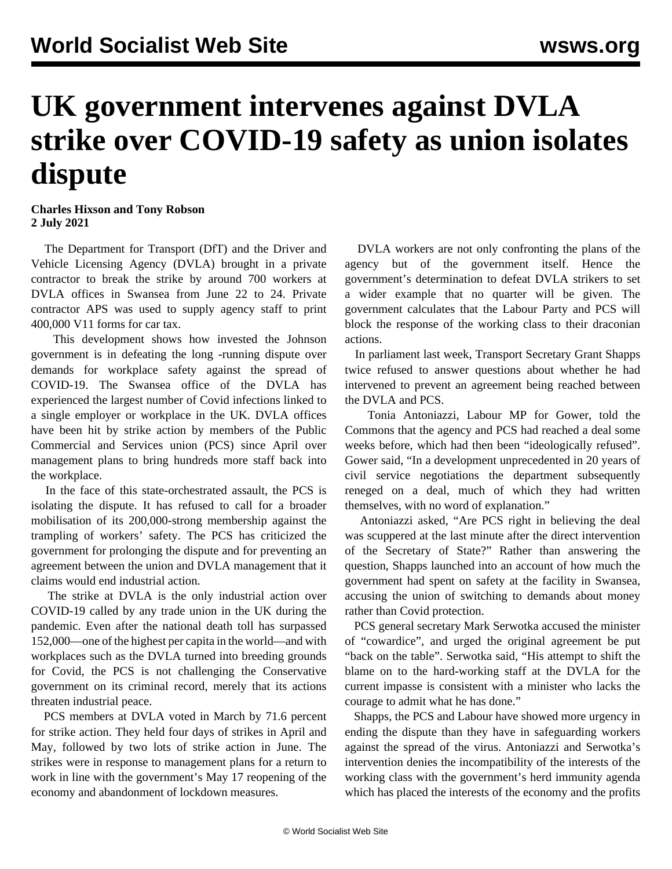## **UK government intervenes against DVLA strike over COVID-19 safety as union isolates dispute**

**Charles Hixson and Tony Robson 2 July 2021**

 The Department for Transport (DfT) and the Driver and Vehicle Licensing Agency (DVLA) brought in a private contractor to break the strike by around 700 workers at DVLA offices in Swansea from June 22 to 24. Private contractor APS was used to supply agency staff to print 400,000 V11 forms for car tax.

 This development shows how invested the Johnson government is in defeating the [long](https://www.pcs.org.uk/news-events/news/dvla-strike-details-withdrawn-deal-could-have-ended-dispute) -running dispute over demands for workplace safety against the spread of COVID-19. The Swansea office of the DVLA has experienced the largest number of Covid infections linked to a single employer or workplace in the UK. DVLA offices have been hit by strike action by members of the Public Commercial and Services union (PCS) since April over management plans to bring hundreds more staff back into the workplace.

 In the face of this state-orchestrated assault, the PCS is isolating the dispute. It has refused to call for a broader mobilisation of its 200,000-strong membership against the trampling of workers' safety. The PCS has criticized the government for prolonging the dispute and for preventing an agreement between the union and DVLA management that it claims would end industrial action.

 The strike at DVLA is the only industrial action over COVID-19 called by any trade union in the UK during the pandemic. Even after the national death toll has surpassed 152,000—one of the highest per capita in the world—and with workplaces such as the DVLA turned into breeding grounds for Covid, the PCS is not challenging the Conservative government on its criminal record, merely that its actions threaten industrial peace.

 PCS members at DVLA voted in March by 71.6 percent for strike action. They held four days of strikes in April and May, followed by two lots of strike action in June. The strikes were in response to management plans for a return to work in line with the government's May 17 reopening of the economy and abandonment of lockdown measures.

 DVLA workers are not only confronting the plans of the agency but of the government itself. Hence the government's determination to defeat DVLA strikers to set a wider example that no quarter will be given. The government calculates that the Labour Party and PCS will block the response of the working class to their draconian actions.

 In parliament last week, Transport Secretary Grant Shapps twice refused to answer questions about whether he had intervened to prevent an agreement being reached between the DVLA and PCS.

 Tonia Antoniazzi, Labour MP for Gower, told the Commons that the agency and PCS had reached a deal some weeks before, which had then been "ideologically refused". Gower said, "In a development unprecedented in 20 years of civil service negotiations the department subsequently reneged on a deal, much of which they had written themselves, with no word of explanation."

 Antoniazzi asked, "Are PCS right in believing the deal was scuppered at the last minute after the direct intervention of the Secretary of State?" Rather than answering the question, Shapps launched into an account of how much the government had spent on safety at the facility in Swansea, accusing the union of switching to demands about money rather than Covid protection.

 PCS general secretary Mark Serwotka accused the minister of "cowardice", and urged the original agreement be put "back on the table". Serwotka said, "His attempt to shift the blame on to the hard-working staff at the DVLA for the current impasse is consistent with a minister who lacks the courage to admit what he has done."

 Shapps, the PCS and Labour have showed more urgency in ending the dispute than they have in safeguarding workers against the spread of the virus. Antoniazzi and Serwotka's intervention denies the incompatibility of the interests of the working class with the government's herd immunity agenda which has placed the interests of the economy and the profits